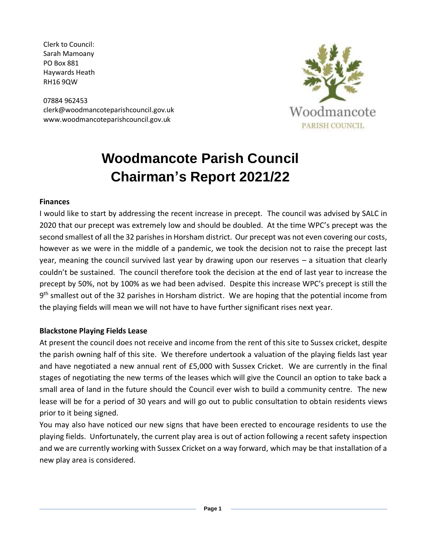Clerk to Council: Sarah Mamoany PO Box 881 Haywards Heath RH16 9QW

07884 962453 clerk@woodmancoteparishcouncil.gov.uk www.woodmancoteparishcouncil.gov.uk



# **Woodmancote Parish Council Chairman's Report 2021/22**

#### **Finances**

I would like to start by addressing the recent increase in precept. The council was advised by SALC in 2020 that our precept was extremely low and should be doubled. At the time WPC's precept was the second smallest of all the 32 parishes in Horsham district. Our precept was not even covering our costs, however as we were in the middle of a pandemic, we took the decision not to raise the precept last year, meaning the council survived last year by drawing upon our reserves – a situation that clearly couldn't be sustained. The council therefore took the decision at the end of last year to increase the precept by 50%, not by 100% as we had been advised. Despite this increase WPC's precept is still the 9<sup>th</sup> smallest out of the 32 parishes in Horsham district. We are hoping that the potential income from the playing fields will mean we will not have to have further significant rises next year.

#### **Blackstone Playing Fields Lease**

At present the council does not receive and income from the rent of this site to Sussex cricket, despite the parish owning half of this site. We therefore undertook a valuation of the playing fields last year and have negotiated a new annual rent of £5,000 with Sussex Cricket. We are currently in the final stages of negotiating the new terms of the leases which will give the Council an option to take back a small area of land in the future should the Council ever wish to build a community centre. The new lease will be for a period of 30 years and will go out to public consultation to obtain residents views prior to it being signed.

You may also have noticed our new signs that have been erected to encourage residents to use the playing fields. Unfortunately, the current play area is out of action following a recent safety inspection and we are currently working with Sussex Cricket on a way forward, which may be that installation of a new play area is considered.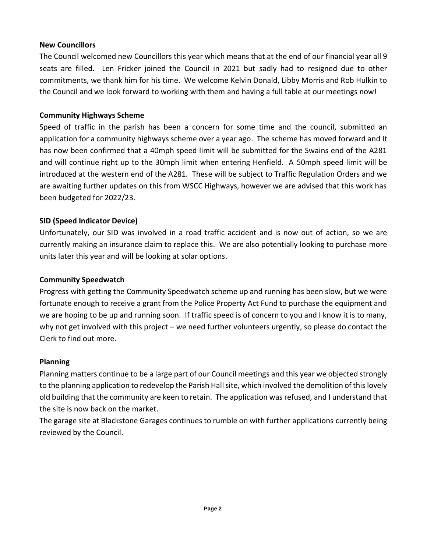#### **New Councillors**

The Council welcomed new Councillors this year which means that at the end of our financial year all 9 seats are filled. Len Fricker joined the Council in 2021 but sadly had to resigned due to other commitments, we thank him for his time. We welcome Kelvin Donald, Libby Morris and Rob Hulkin to the Council and we look forward to working with them and having a full table at our meetings now!

## **Community Highways Scheme**

Speed of traffic in the parish has been a concern for some time and the council, submitted an application for a community highways scheme over a year ago. The scheme has moved forward and It has now been confirmed that a 40mph speed limit will be submitted for the Swains end of the A281 and will continue right up to the 30mph limit when entering Henfield. A 50mph speed limit will be introduced at the western end of the A281. These will be subject to Traffic Regulation Orders and we are awaiting further updates on this from WSCC Highways, however we are advised that this work has been budgeted for 2022/23.

# **SID (Speed Indicator Device)**

Unfortunately, our SID was involved in a road traffic accident and is now out of action, so we are currently making an insurance claim to replace this. We are also potentially looking to purchase more units later this year and will be looking at solar options.

## **Community Speedwatch**

Progress with getting the Community Speedwatch scheme up and running has been slow, but we were fortunate enough to receive a grant from the Police Property Act Fund to purchase the equipment and we are hoping to be up and running soon. If traffic speed is of concern to you and I know it is to many, why not get involved with this project – we need further volunteers urgently, so please do contact the Clerk to find out more.

#### **Planning**

Planning matters continue to be a large part of our Council meetings and this year we objected strongly to the planning application to redevelop the Parish Hall site, which involved the demolition of this lovely old building that the community are keen to retain. The application was refused, and I understand that the site is now back on the market.

The garage site at Blackstone Garages continues to rumble on with further applications currently being reviewed by the Council.